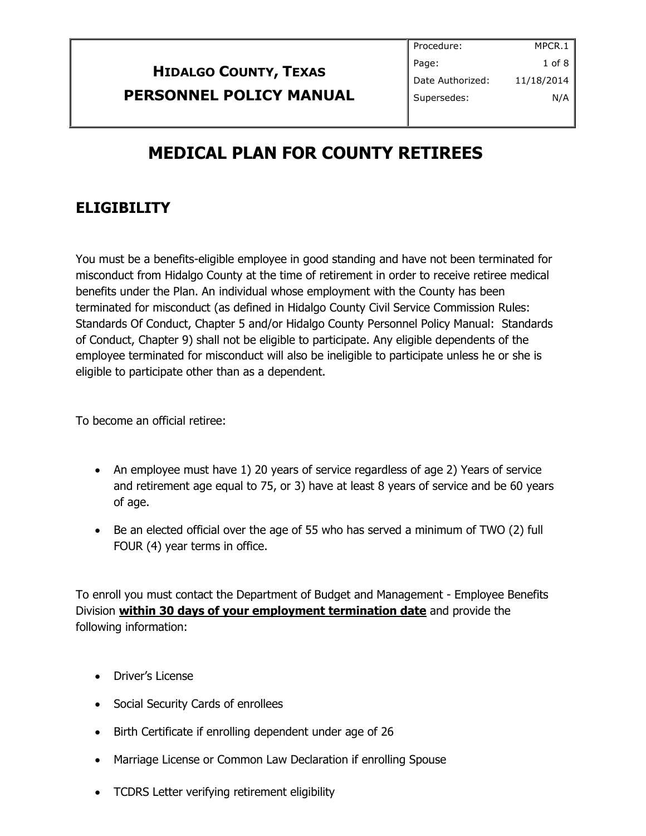|                                | Procedure:       | MPCR.1     |
|--------------------------------|------------------|------------|
| <b>HIDALGO COUNTY, TEXAS</b>   | Page:            | 1 of 8 $ $ |
|                                | Date Authorized: | 11/18/2014 |
| <b>PERSONNEL POLICY MANUAL</b> | Supersedes:      | N/A        |
|                                |                  |            |

# **MEDICAL PLAN FOR COUNTY RETIREES**

## **ELIGIBILITY**

You must be a benefits-eligible employee in good standing and have not been terminated for misconduct from Hidalgo County at the time of retirement in order to receive retiree medical benefits under the Plan. An individual whose employment with the County has been terminated for misconduct (as defined in Hidalgo County Civil Service Commission Rules: Standards Of Conduct, Chapter 5 and/or Hidalgo County Personnel Policy Manual: Standards of Conduct, Chapter 9) shall not be eligible to participate. Any eligible dependents of the employee terminated for misconduct will also be ineligible to participate unless he or she is eligible to participate other than as a dependent.

To become an official retiree:

- An employee must have 1) 20 years of service regardless of age 2) Years of service and retirement age equal to 75, or 3) have at least 8 years of service and be 60 years of age.
- Be an elected official over the age of 55 who has served a minimum of TWO (2) full FOUR (4) year terms in office.

To enroll you must contact the Department of Budget and Management - Employee Benefits Division **within 30 days of your employment termination date** and provide the following information:

- Driver's License
- Social Security Cards of enrollees
- Birth Certificate if enrolling dependent under age of 26
- Marriage License or Common Law Declaration if enrolling Spouse
- TCDRS Letter verifying retirement eligibility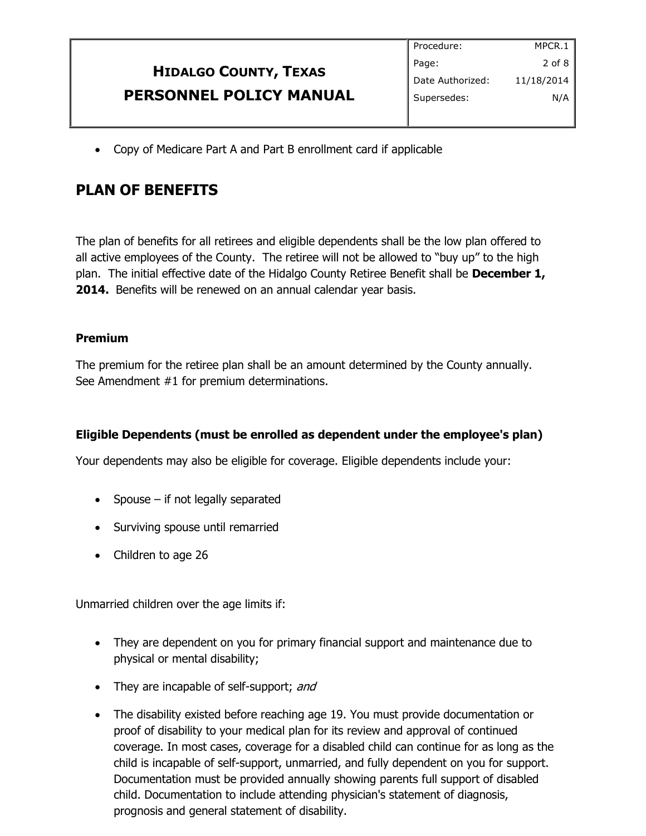|                              | Procedure:       | MPCR.1     |
|------------------------------|------------------|------------|
| <b>HIDALGO COUNTY, TEXAS</b> | Page:            | $2$ of 8   |
|                              | Date Authorized: | 11/18/2014 |
| PERSONNEL POLICY MANUAL      | Supersedes:      | N/A        |
|                              |                  |            |

Copy of Medicare Part A and Part B enrollment card if applicable

### **PLAN OF BENEFITS**

The plan of benefits for all retirees and eligible dependents shall be the low plan offered to all active employees of the County. The retiree will not be allowed to "buy up" to the high plan. The initial effective date of the Hidalgo County Retiree Benefit shall be **December 1, 2014.** Benefits will be renewed on an annual calendar year basis.

#### **Premium**

The premium for the retiree plan shall be an amount determined by the County annually. See Amendment #1 for premium determinations.

#### **Eligible Dependents (must be enrolled as dependent under the employee's plan)**

Your dependents may also be eligible for coverage. Eligible dependents include your:

- Spouse if not legally separated
- Surviving spouse until remarried
- Children to age 26

Unmarried children over the age limits if:

- They are dependent on you for primary financial support and maintenance due to physical or mental disability;
- They are incapable of self-support; and
- The disability existed before reaching age 19. You must provide documentation or proof of disability to your medical plan for its review and approval of continued coverage. In most cases, coverage for a disabled child can continue for as long as the child is incapable of self-support, unmarried, and fully dependent on you for support. Documentation must be provided annually showing parents full support of disabled child. Documentation to include attending physician's statement of diagnosis, prognosis and general statement of disability.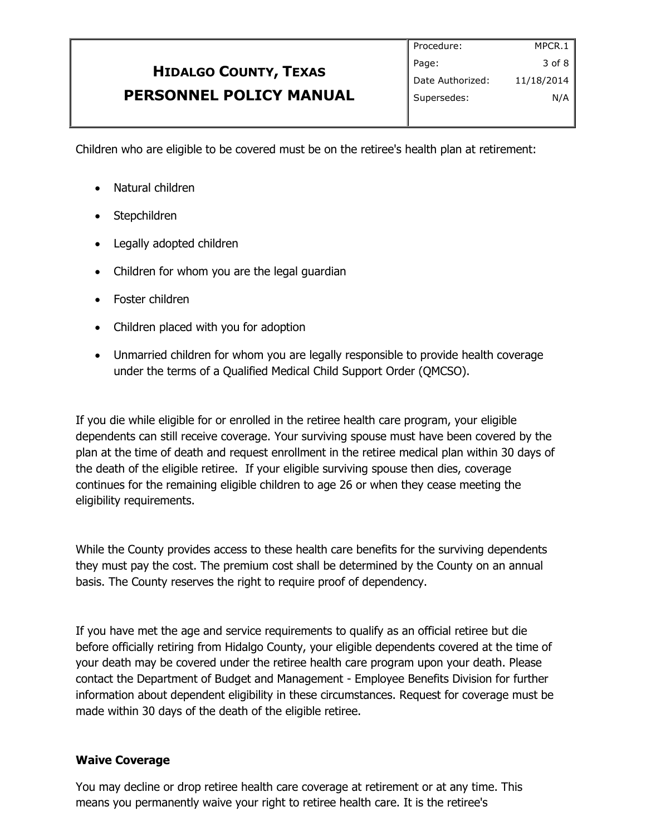# **HIDALGO COUNTY, TEXAS PERSONNEL POLICY MANUAL**

Children who are eligible to be covered must be on the retiree's health plan at retirement:

- Natural children
- Stepchildren
- Legally adopted children
- Children for whom you are the legal quardian
- Foster children
- Children placed with you for adoption
- Unmarried children for whom you are legally responsible to provide health coverage under the terms of a Qualified Medical Child Support Order (QMCSO).

If you die while eligible for or enrolled in the retiree health care program, your eligible dependents can still receive coverage. Your surviving spouse must have been covered by the plan at the time of death and request enrollment in the retiree medical plan within 30 days of the death of the eligible retiree. If your eligible surviving spouse then dies, coverage continues for the remaining eligible children to age 26 or when they cease meeting the eligibility requirements.

While the County provides access to these health care benefits for the surviving dependents they must pay the cost. The premium cost shall be determined by the County on an annual basis. The County reserves the right to require proof of dependency.

If you have met the age and service requirements to qualify as an official retiree but die before officially retiring from Hidalgo County, your eligible dependents covered at the time of your death may be covered under the retiree health care program upon your death. Please contact the Department of Budget and Management - Employee Benefits Division for further information about dependent eligibility in these circumstances. Request for coverage must be made within 30 days of the death of the eligible retiree.

#### **Waive Coverage**

You may decline or drop retiree health care coverage at retirement or at any time. This means you permanently waive your right to retiree health care. It is the retiree's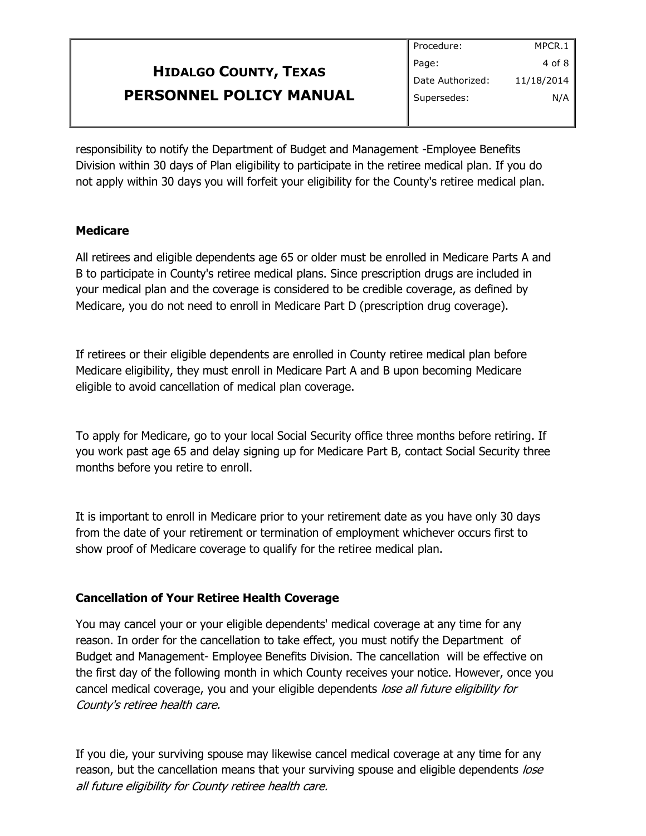|                              | Procedure:       | MPCR.1     |
|------------------------------|------------------|------------|
| <b>HIDALGO COUNTY, TEXAS</b> | Page:            | 4 of 8     |
|                              | Date Authorized: | 11/18/2014 |
| PERSONNEL POLICY MANUAL      | Supersedes:      | N/A        |
|                              |                  |            |

responsibility to notify the Department of Budget and Management -Employee Benefits Division within 30 days of Plan eligibility to participate in the retiree medical plan. If you do not apply within 30 days you will forfeit your eligibility for the County's retiree medical plan.

#### **Medicare**

All retirees and eligible dependents age 65 or older must be enrolled in Medicare Parts A and B to participate in County's retiree medical plans. Since prescription drugs are included in your medical plan and the coverage is considered to be credible coverage, as defined by Medicare, you do not need to enroll in Medicare Part D (prescription drug coverage).

If retirees or their eligible dependents are enrolled in County retiree medical plan before Medicare eligibility, they must enroll in Medicare Part A and B upon becoming Medicare eligible to avoid cancellation of medical plan coverage.

To apply for Medicare, go to your local Social Security office three months before retiring. If you work past age 65 and delay signing up for Medicare Part B, contact Social Security three months before you retire to enroll.

It is important to enroll in Medicare prior to your retirement date as you have only 30 days from the date of your retirement or termination of employment whichever occurs first to show proof of Medicare coverage to qualify for the retiree medical plan.

#### **Cancellation of Your Retiree Health Coverage**

You may cancel your or your eligible dependents' medical coverage at any time for any reason. In order for the cancellation to take effect, you must notify the Department of Budget and Management- Employee Benefits Division. The cancellation will be effective on the first day of the following month in which County receives your notice. However, once you cancel medical coverage, you and your eligible dependents lose all future eligibility for County's retiree health care.

If you die, your surviving spouse may likewise cancel medical coverage at any time for any reason, but the cancellation means that your surviving spouse and eligible dependents lose all future eligibility for County retiree health care.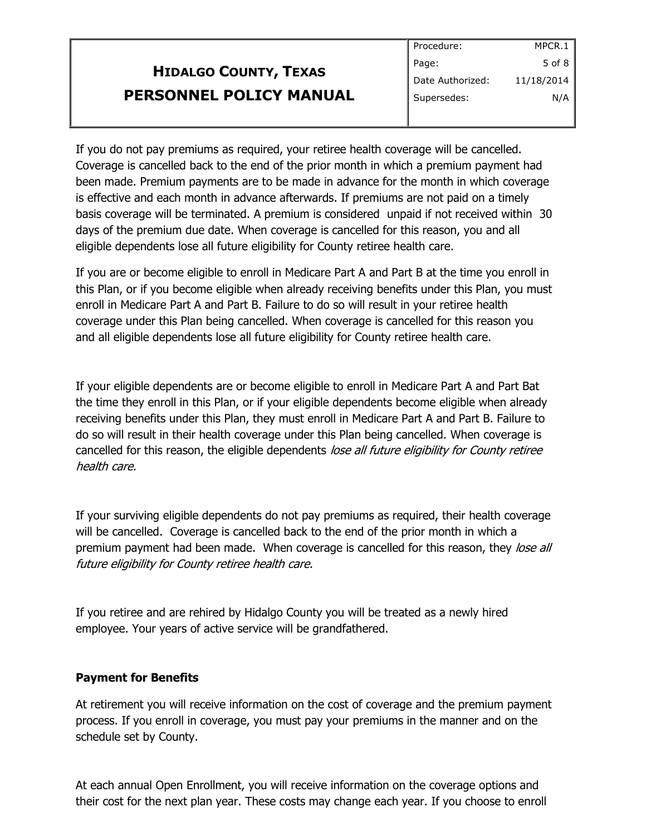# **HIDALGO COUNTY, TEXAS PERSONNEL POLICY MANUAL**

If you do not pay premiums as required, your retiree health coverage will be cancelled. Coverage is cancelled back to the end of the prior month in which a premium payment had been made. Premium payments are to be made in advance for the month in which coverage is effective and each month in advance afterwards. If premiums are not paid on a timely basis coverage will be terminated. A premium is considered unpaid if not received within 30 days of the premium due date. When coverage is cancelled for this reason, you and all eligible dependents lose all future eligibility for County retiree health care.

If you are or become eligible to enroll in Medicare Part A and Part B at the time you enroll in this Plan, or if you become eligible when already receiving benefits under this Plan, you must enroll in Medicare Part A and Part B. Failure to do so will result in your retiree health coverage under this Plan being cancelled. When coverage is cancelled for this reason you and all eligible dependents lose all future eligibility for County retiree health care.

If your eligible dependents are or become eligible to enroll in Medicare Part A and Part Bat the time they enroll in this Plan, or if your eligible dependents become eligible when already receiving benefits under this Plan, they must enroll in Medicare Part A and Part B. Failure to do so will result in their health coverage under this Plan being cancelled. When coverage is cancelled for this reason, the eligible dependents lose all future eligibility for County retiree health care.

If your surviving eligible dependents do not pay premiums as required, their health coverage will be cancelled. Coverage is cancelled back to the end of the prior month in which a premium payment had been made. When coverage is cancelled for this reason, they lose all future eligibility for County retiree health care.

If you retiree and are rehired by Hidalgo County you will be treated as a newly hired employee. Your years of active service will be grandfathered.

#### **Payment for Benefits**

At retirement you will receive information on the cost of coverage and the premium payment process. If you enroll in coverage, you must pay your premiums in the manner and on the schedule set by County.

At each annual Open Enrollment, you will receive information on the coverage options and their cost for the next plan year. These costs may change each year. If you choose to enroll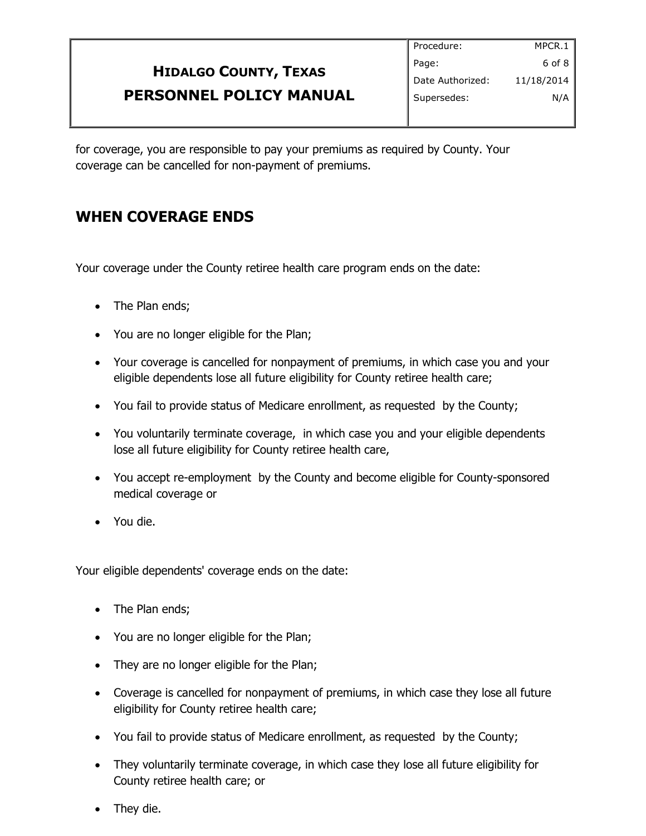#### **HIDALGO COUNTY, TEXAS PERSONNEL POLICY MANUAL** Procedure: Page: Date Authorized: Supersedes: MPCR.1 6 of 8 11/18/2014 N/A

for coverage, you are responsible to pay your premiums as required by County. Your coverage can be cancelled for non-payment of premiums.

## **WHEN COVERAGE ENDS**

Your coverage under the County retiree health care program ends on the date:

- The Plan ends;
- You are no longer eligible for the Plan;
- Your coverage is cancelled for nonpayment of premiums, in which case you and your eligible dependents lose all future eligibility for County retiree health care;
- You fail to provide status of Medicare enrollment, as requested by the County;
- You voluntarily terminate coverage, in which case you and your eligible dependents lose all future eligibility for County retiree health care,
- You accept re-employment by the County and become eligible for County-sponsored medical coverage or
- You die.

Your eligible dependents' coverage ends on the date:

- The Plan ends;
- You are no longer eligible for the Plan;
- They are no longer eligible for the Plan;
- Coverage is cancelled for nonpayment of premiums, in which case they lose all future eligibility for County retiree health care;
- You fail to provide status of Medicare enrollment, as requested by the County;
- They voluntarily terminate coverage, in which case they lose all future eligibility for County retiree health care; or
- They die.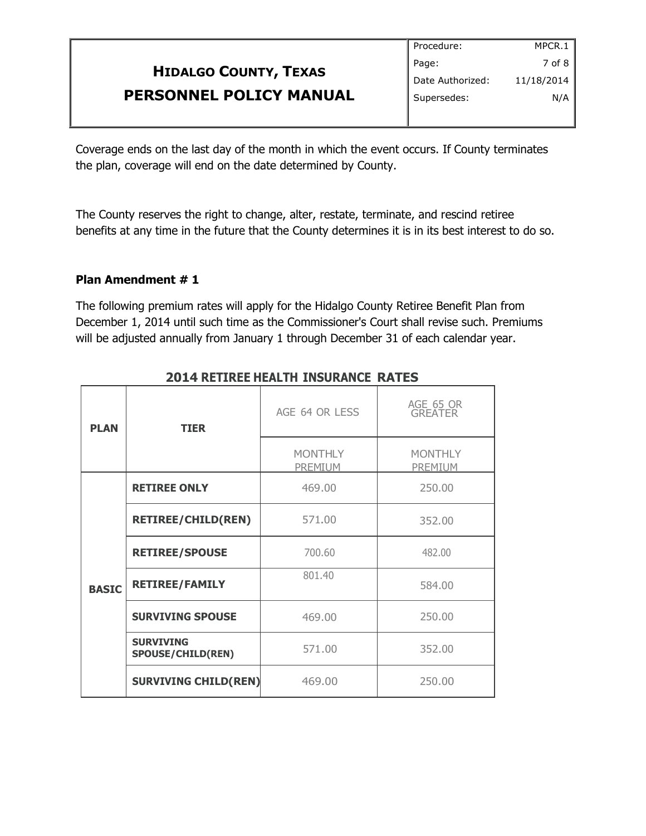|                                | Procedure:       | MPCR.1     |
|--------------------------------|------------------|------------|
| <b>HIDALGO COUNTY, TEXAS</b>   | Page:            | $7$ of 8   |
|                                | Date Authorized: | 11/18/2014 |
| <b>PERSONNEL POLICY MANUAL</b> | Supersedes:      | N/A        |
|                                |                  |            |

Coverage ends on the last day of the month in which the event occurs. If County terminates the plan, coverage will end on the date determined by County.

The County reserves the right to change, alter, restate, terminate, and rescind retiree benefits at any time in the future that the County determines it is in its best interest to do so.

#### **Plan Amendment # 1**

The following premium rates will apply for the Hidalgo County Retiree Benefit Plan from December 1, 2014 until such time as the Commissioner's Court shall revise such. Premiums will be adjusted annually from January 1 through December 31 of each calendar year.

| <b>PLAN</b>  | <b>TIER</b>                                  | AGE 64 OR LESS            | AGE 65 OR<br><b>GREATER</b> |
|--------------|----------------------------------------------|---------------------------|-----------------------------|
|              |                                              | <b>MONTHLY</b><br>PREMIUM | <b>MONTHLY</b><br>PREMIUM   |
| <b>BASIC</b> | <b>RETIREE ONLY</b>                          | 469.00                    | 250.00                      |
|              | <b>RETIREE/CHILD(REN)</b>                    | 571.00                    | 352.00                      |
|              | <b>RETIREE/SPOUSE</b>                        | 700.60                    | 482.00                      |
|              | <b>RETIREE/FAMILY</b>                        | 801.40                    | 584.00                      |
|              | <b>SURVIVING SPOUSE</b>                      | 469.00                    | 250.00                      |
|              | <b>SURVIVING</b><br><b>SPOUSE/CHILD(REN)</b> | 571.00                    | 352.00                      |
|              | <b>SURVIVING CHILD(REN)</b>                  | 469.00                    | 250.00                      |

#### **2014 RETIREE HEALTH INSURANCE RATES**